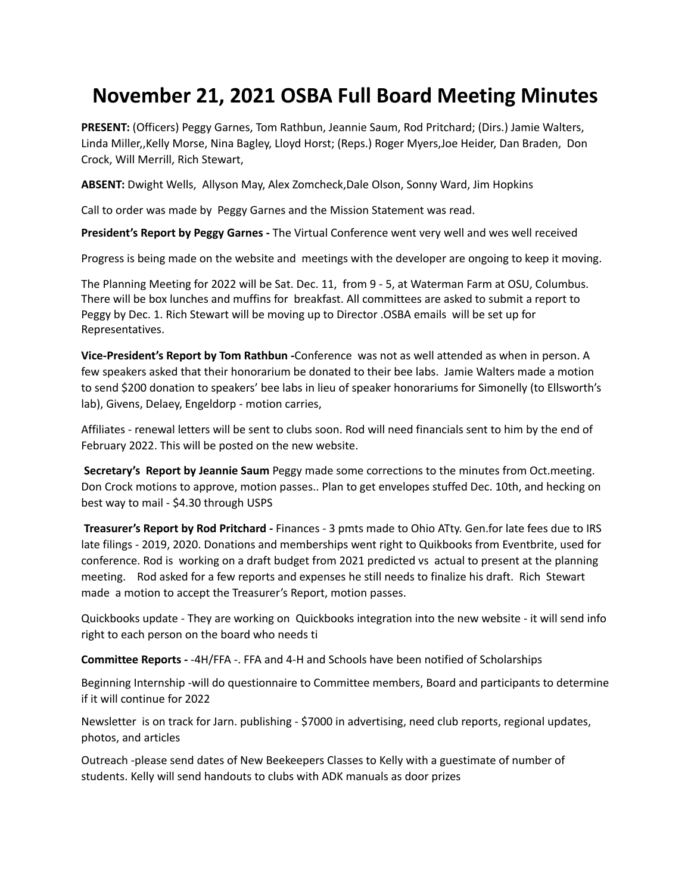## **November 21, 2021 OSBA Full Board Meeting Minutes**

**PRESENT:** (Officers) Peggy Garnes, Tom Rathbun, Jeannie Saum, Rod Pritchard; (Dirs.) Jamie Walters, Linda Miller,,Kelly Morse, Nina Bagley, Lloyd Horst; (Reps.) Roger Myers,Joe Heider, Dan Braden, Don Crock, Will Merrill, Rich Stewart,

**ABSENT:** Dwight Wells, Allyson May, Alex Zomcheck,Dale Olson, Sonny Ward, Jim Hopkins

Call to order was made by Peggy Garnes and the Mission Statement was read.

**President's Report by Peggy Garnes -** The Virtual Conference went very well and wes well received

Progress is being made on the website and meetings with the developer are ongoing to keep it moving.

The Planning Meeting for 2022 will be Sat. Dec. 11, from 9 - 5, at Waterman Farm at OSU, Columbus. There will be box lunches and muffins for breakfast. All committees are asked to submit a report to Peggy by Dec. 1. Rich Stewart will be moving up to Director .OSBA emails will be set up for Representatives.

**Vice-President's Report by Tom Rathbun -**Conference was not as well attended as when in person. A few speakers asked that their honorarium be donated to their bee labs. Jamie Walters made a motion to send \$200 donation to speakers' bee labs in lieu of speaker honorariums for Simonelly (to Ellsworth's lab), Givens, Delaey, Engeldorp - motion carries,

Affiliates - renewal letters will be sent to clubs soon. Rod will need financials sent to him by the end of February 2022. This will be posted on the new website.

**Secretary's Report by Jeannie Saum** Peggy made some corrections to the minutes from Oct.meeting. Don Crock motions to approve, motion passes.. Plan to get envelopes stuffed Dec. 10th, and hecking on best way to mail - \$4.30 through USPS

**Treasurer's Report by Rod Pritchard -** Finances - 3 pmts made to Ohio ATty. Gen.for late fees due to IRS late filings - 2019, 2020. Donations and memberships went right to Quikbooks from Eventbrite, used for conference. Rod is working on a draft budget from 2021 predicted vs actual to present at the planning meeting. Rod asked for a few reports and expenses he still needs to finalize his draft. Rich Stewart made a motion to accept the Treasurer's Report, motion passes.

Quickbooks update - They are working on Quickbooks integration into the new website - it will send info right to each person on the board who needs ti

**Committee Reports -** -4H/FFA -. FFA and 4-H and Schools have been notified of Scholarships

Beginning Internship -will do questionnaire to Committee members, Board and participants to determine if it will continue for 2022

Newsletter is on track for Jarn. publishing - \$7000 in advertising, need club reports, regional updates, photos, and articles

Outreach -please send dates of New Beekeepers Classes to Kelly with a guestimate of number of students. Kelly will send handouts to clubs with ADK manuals as door prizes